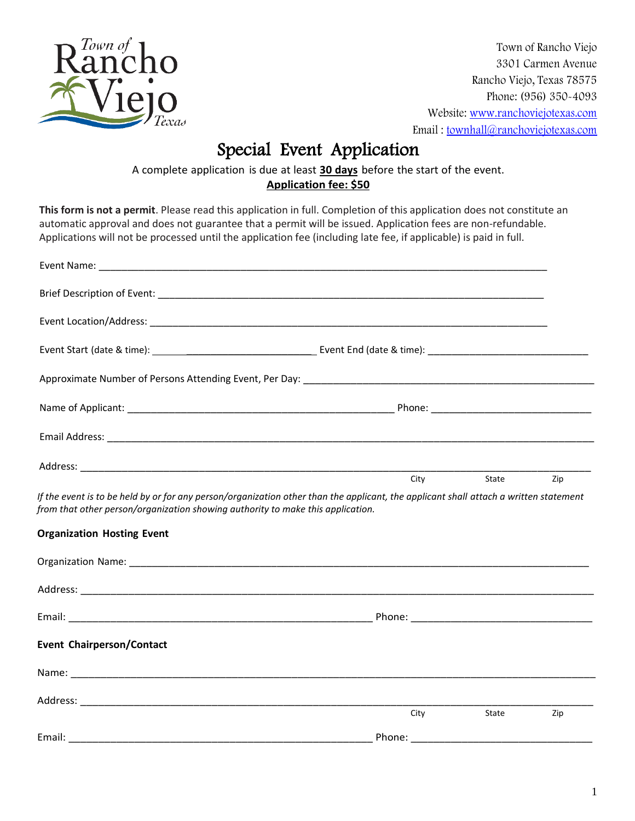

Town of Rancho Viejo 3301 Carmen Avenue Rancho Viejo, Texas 78575 Phone: (956) 350-4093 Website: [www.ranchoviejotexas.com](http://www.ranchoviejotexas.com/) Email : [townhall@ranchoviejotexas.com](mailto:townhall@ranchoviejotexas.com)

# Special Event Application

A complete application is due at least **30 days** before the start of the event. **Application fee: \$50**

**This form is not a permit**. Please read this application in full. Completion of this application does not constitute an automatic approval and does not guarantee that a permit will be issued. Application fees are non-refundable. Applications will not be processed until the application fee (including late fee, if applicable) is paid in full.

|                                                                                                                                                                                                                                                               | City           | State | Zip |
|---------------------------------------------------------------------------------------------------------------------------------------------------------------------------------------------------------------------------------------------------------------|----------------|-------|-----|
| If the event is to be held by or for any person/organization other than the applicant, the applicant shall attach a written statement<br>from that other person/organization showing authority to make this application.<br><b>Organization Hosting Event</b> |                |       |     |
|                                                                                                                                                                                                                                                               |                |       |     |
|                                                                                                                                                                                                                                                               |                |       |     |
|                                                                                                                                                                                                                                                               |                |       |     |
| <b>Event Chairperson/Contact</b>                                                                                                                                                                                                                              |                |       |     |
|                                                                                                                                                                                                                                                               |                |       |     |
|                                                                                                                                                                                                                                                               |                |       |     |
|                                                                                                                                                                                                                                                               | City<br>Phone: | State | Zip |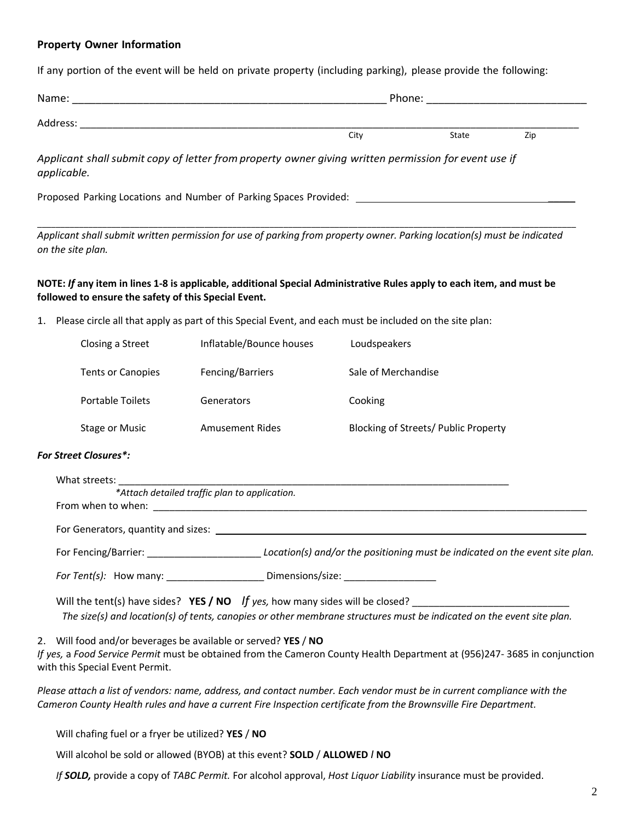#### **Property Owner Information**

If any portion of the event will be held on private property (including parking), please provide the following:

| Name:    |      | Phone: |       |     |  |
|----------|------|--------|-------|-----|--|
| Address: |      |        |       |     |  |
|          | City |        | State | Zip |  |

*Applicant shall submit copy of letter from property owner giving written permission for event use if applicable.*

Proposed Parking Locations and Number of Parking Spaces Provided: \_\_\_\_\_

*Applicant shall submit written permission for use of parking from property owner. Parking location(s) must be indicated on the site plan.*

\_\_\_\_\_\_\_\_\_\_\_\_\_\_\_\_\_\_\_\_\_\_\_\_\_\_\_\_\_\_\_\_\_\_\_\_\_\_\_\_\_\_\_\_\_\_\_\_\_\_\_\_\_\_\_\_\_\_\_\_\_\_\_\_\_\_\_\_\_\_\_\_\_\_\_\_\_\_\_\_\_\_\_\_\_\_\_\_\_\_\_\_\_\_\_\_\_\_\_\_\_\_\_\_\_\_\_\_\_\_\_\_\_\_\_\_

#### **NOTE:** *If* **any item in lines 1-8 is applicable, additional Special Administrative Rules apply to each item, and must be followed to ensure the safety of this Special Event.**

1. Please circle all that apply as part of this Special Event, and each must be included on the site plan:

| Closing a Street  | Inflatable/Bounce houses | Loudspeakers                         |
|-------------------|--------------------------|--------------------------------------|
| Tents or Canopies | Fencing/Barriers         | Sale of Merchandise                  |
| Portable Toilets  | Generators               | Cooking                              |
| Stage or Music    | <b>Amusement Rides</b>   | Blocking of Streets/ Public Property |

#### *For Street Closures\*:*

What streets:  *\*Attach detailed traffic plan to application.* From when to when: \_\_\_\_\_\_\_\_\_\_\_\_\_\_\_\_\_\_\_\_\_\_\_\_\_\_\_\_\_\_\_\_\_\_\_\_\_\_\_\_\_\_\_\_\_\_\_\_\_\_\_\_\_\_\_\_\_\_\_\_\_\_\_\_\_\_\_\_\_\_\_\_\_\_\_\_\_\_\_\_ For Generators, quantity and sizes: **we are exampled** For Fencing/Barrier: \_\_\_\_\_\_\_\_\_\_\_\_\_\_\_\_\_\_\_\_\_ *Location(s) and/or the positioning must be indicated on the event site plan. For Tent(s):* How many: \_\_\_\_\_\_\_\_\_\_\_\_\_\_\_\_\_\_\_\_\_\_\_ Dimensions/size: \_\_\_\_\_\_\_\_\_\_\_\_\_\_\_\_ Will the tent(s) have sides? **YES / NO** *If yes,* how many sides will be closed? *The size(s) and location(s) of tents, canopies or other membrane structures must be indicated on the event site plan.* 2. Will food and/or beverages be available or served? **YES** / **NO** *If yes,* a *Food Service Permit* must be obtained from the Cameron County Health Department at (956)247- 3685 in conjunction with this Special Event Permit.

*Please attach a list of vendors: name, address, and contact number. Each vendor must be in current compliance with the Cameron County Health rules and have a current Fire Inspection certificate from the Brownsville Fire Department.*

Will chafing fuel or a fryer be utilized? **YES** / **NO**

Will alcohol be sold or allowed (BYOB) at this event? **SOLD** / **ALLOWED** *I* **NO**

*If SOLD,* provide a copy of *TABC Permit.* For alcohol approval, *Host Liquor Liability* insurance must be provided.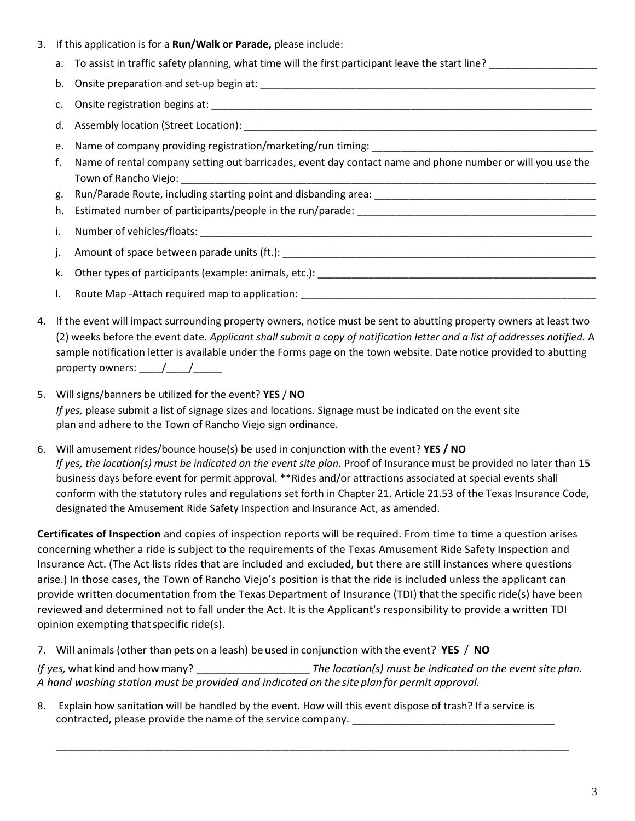- 3. If this application is for a **Run/Walk or Parade,** please include:
	- a. To assist in traffic safety planning, what time will the first participant leave the start line?
	- b. Onsite preparation and set-up begin at: \_\_\_\_\_\_\_\_\_\_\_\_\_\_\_\_\_\_\_\_\_\_\_\_\_\_\_\_\_\_\_\_\_\_\_\_\_\_\_\_\_\_\_\_\_\_\_\_\_\_\_\_\_\_\_\_\_\_\_
	- c. Onsite registration begins at:

d. Assembly location (Street Location):

- e. Name of company providing registration/marketing/run timing:
- f. Name of rental company setting out barricades, event day contact name and phone number or will you use the Town of Rancho Viejo:
- g. Run/Parade Route, including starting point and disbanding area: \_\_\_\_\_\_\_\_\_\_\_\_\_\_\_\_\_\_\_\_\_\_\_\_\_\_\_\_\_\_\_\_\_\_\_\_\_\_\_
- h. Estimated number of participants/people in the run/parade: \_\_\_\_\_\_\_\_\_\_\_\_\_\_\_\_\_\_\_\_\_\_\_\_\_\_\_\_\_\_\_\_\_\_\_\_\_\_\_\_\_\_
- i. Number of vehicles/floats:
- j. Amount of space between parade units (ft.):
- k. Other types of participants (example: animals, etc.): \_\_\_\_\_\_\_\_\_\_\_\_\_\_\_\_\_\_\_\_\_\_\_\_\_\_\_\_\_\_\_\_\_\_\_\_\_\_\_\_\_\_\_\_\_\_\_\_\_
- l. Route Map -Attach required map to application:
- 4. If the event will impact surrounding property owners, notice must be sent to abutting property owners at least two (2) weeks before the event date. *Applicant shall submit a copy of notification letter and a list of addresses notified.* A sample notification letter is available under the Forms page on the town website. Date notice provided to abutting property owners:  $\frac{\mu}{\sigma}$  /  $\frac{\mu}{\sigma}$
- 5. Will signs/banners be utilized for the event? **YES** / **NO** *If yes,* please submit a list of signage sizes and locations. Signage must be indicated on the event site plan and adhere to the Town of Rancho Viejo sign ordinance.
- 6. Will amusement rides/bounce house(s) be used in conjunction with the event? **YES / NO** *If yes, the location(s) must be indicated on the event site plan.* Proof of Insurance must be provided no later than 15 business days before event for permit approval. \*\*Rides and/or attractions associated at special events shall conform with the statutory rules and regulations set forth in Chapter 21. Article 21.53 of the Texas Insurance Code, designated the Amusement Ride Safety Inspection and Insurance Act, as amended.

**Certificates of Inspection** and copies of inspection reports will be required. From time to time a question arises concerning whether a ride is subject to the requirements of the Texas Amusement Ride Safety Inspection and Insurance Act. (The Act lists rides that are included and excluded, but there are still instances where questions arise.) In those cases, the Town of Rancho Viejo's position is that the ride is included unless the applicant can provide written documentation from the Texas Department of Insurance (TDI) that the specific ride(s) have been reviewed and determined not to fall under the Act. It is the Applicant's responsibility to provide a written TDI opinion exempting thatspecific ride(s).

7. Will animals (other than pets on a leash) beused in conjunction with the event? **YES** / **NO**

*If yes,* what kind and howmany? \_\_\_\_\_\_\_\_\_\_\_\_\_\_\_\_\_\_\_ *The location(s) must be indicated on the event site plan. A hand washing station must be provided and indicated on the site plan for permit approval.*

\_\_\_\_\_\_\_\_\_\_\_\_\_\_\_\_\_\_\_\_\_\_\_\_\_\_\_\_\_\_\_\_\_\_\_\_\_\_\_\_\_\_\_\_\_\_\_\_\_\_\_\_\_\_\_\_\_\_\_\_\_\_\_\_\_\_\_\_\_\_\_\_\_\_\_\_\_\_\_\_\_\_\_\_\_\_

8. Explain how sanitation will be handled by the event. How will this event dispose of trash? If a service is contracted, please provide the name of the service company. \_\_\_\_\_\_\_\_\_\_\_\_\_\_\_\_\_\_\_\_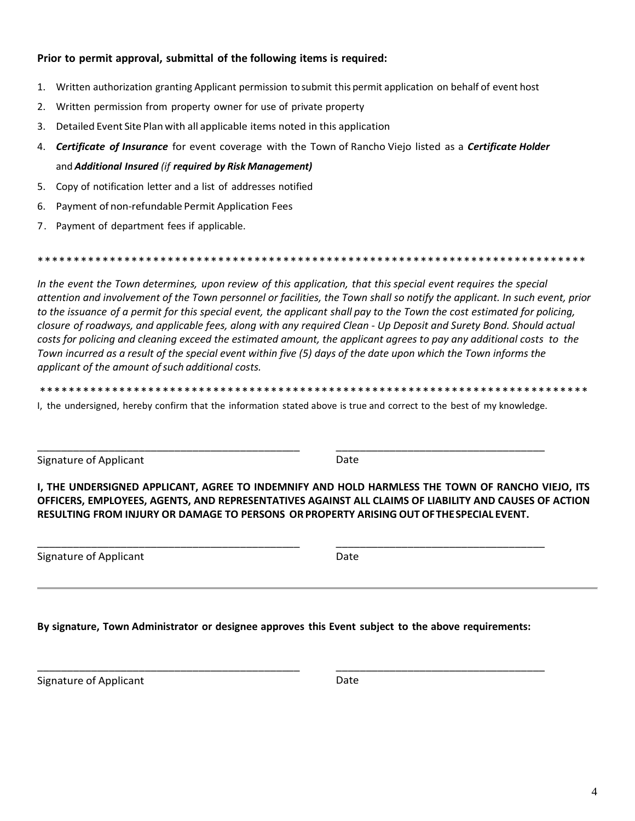### Prior to permit approval, submittal of the following items is required:

- 1. Written authorization granting Applicant permission to submit this permit application on behalf of event host
- $2.$ Written permission from property owner for use of private property
- 3. Detailed Event Site Plan with all applicable items noted in this application
- 4. Certificate of Insurance for event coverage with the Town of Rancho Viejo listed as a Certificate Holder and Additional Insured (if required by Risk Management)
- 5. Copy of notification letter and a list of addresses notified
- Payment of non-refundable Permit Application Fees 6.
- 7. Payment of department fees if applicable.

In the event the Town determines, upon review of this application, that this special event requires the special attention and involvement of the Town personnel or facilities, the Town shall so notify the applicant. In such event, prior to the issuance of a permit for this special event, the applicant shall pay to the Town the cost estimated for policing, closure of roadways, and applicable fees, along with any required Clean - Up Deposit and Surety Bond. Should actual costs for policing and cleaning exceed the estimated amount, the applicant agrees to pay any additional costs to the Town incurred as a result of the special event within five (5) days of the date upon which the Town informs the applicant of the amount of such additional costs.

I, the undersigned, hereby confirm that the information stated above is true and correct to the best of my knowledge.

Date

I, THE UNDERSIGNED APPLICANT, AGREE TO INDEMNIFY AND HOLD HARMLESS THE TOWN OF RANCHO VIEJO, ITS OFFICERS, EMPLOYEES, AGENTS, AND REPRESENTATIVES AGAINST ALL CLAIMS OF LIABILITY AND CAUSES OF ACTION RESULTING FROM INJURY OR DAMAGE TO PERSONS OR PROPERTY ARISING OUT OF THE SPECIAL EVENT.

Signature of Applicant

Date

### By signature, Town Administrator or designee approves this Event subject to the above requirements:

Signature of Applicant

Date